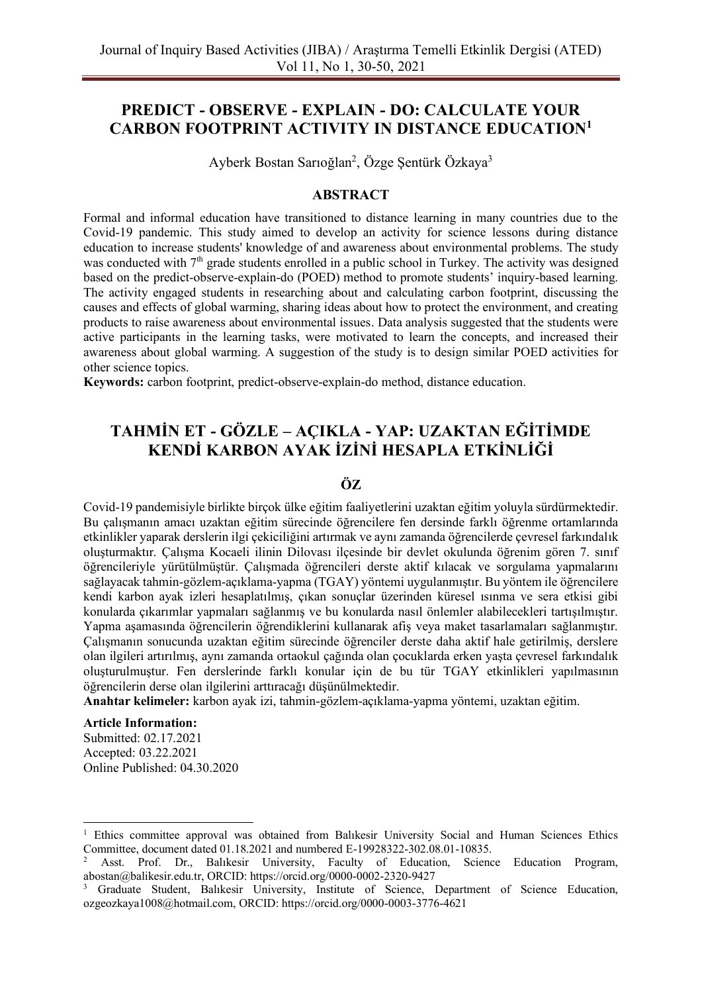# **PREDICT - OBSERVE - EXPLAIN - DO: CALCULATE YOUR CARBON FOOTPRINT ACTIVITY IN DISTANCE EDUCATION<sup>1</sup>**

Ayberk Bostan Sarıoğlan<sup>2</sup>, Özge Şentürk Özkaya<sup>3</sup>

#### **ABSTRACT**

Formal and informal education have transitioned to distance learning in many countries due to the Covid-19 pandemic. This study aimed to develop an activity for science lessons during distance education to increase students' knowledge of and awareness about environmental problems. The study was conducted with  $7<sup>th</sup>$  grade students enrolled in a public school in Turkey. The activity was designed based on the predict-observe-explain-do (POED) method to promote students' inquiry-based learning. The activity engaged students in researching about and calculating carbon footprint, discussing the causes and effects of global warming, sharing ideas about how to protect the environment, and creating products to raise awareness about environmental issues. Data analysis suggested that the students were active participants in the learning tasks, were motivated to learn the concepts, and increased their awareness about global warming. A suggestion of the study is to design similar POED activities for other science topics.

**Keywords:** carbon footprint, predict-observe-explain-do method, distance education.

# **TAHMİN ET - GÖZLE – AÇIKLA - YAP: UZAKTAN EĞİTİMDE KENDİ KARBON AYAK İZİNİ HESAPLA ETKİNLİĞİ**

# **ÖZ**

Covid-19 pandemisiyle birlikte birçok ülke eğitim faaliyetlerini uzaktan eğitim yoluyla sürdürmektedir. Bu çalışmanın amacı uzaktan eğitim sürecinde öğrencilere fen dersinde farklı öğrenme ortamlarında etkinlikler yaparak derslerin ilgi çekiciliğini artırmak ve aynı zamanda öğrencilerde çevresel farkındalık oluşturmaktır. Çalışma Kocaeli ilinin Dilovası ilçesinde bir devlet okulunda öğrenim gören 7. sınıf öğrencileriyle yürütülmüştür. Çalışmada öğrencileri derste aktif kılacak ve sorgulama yapmalarını sağlayacak tahmin-gözlem-açıklama-yapma (TGAY) yöntemi uygulanmıştır. Bu yöntem ile öğrencilere kendi karbon ayak izleri hesaplatılmış, çıkan sonuçlar üzerinden küresel ısınma ve sera etkisi gibi konularda çıkarımlar yapmaları sağlanmış ve bu konularda nasıl önlemler alabilecekleri tartışılmıştır. Yapma aşamasında öğrencilerin öğrendiklerini kullanarak afiş veya maket tasarlamaları sağlanmıştır. Çalışmanın sonucunda uzaktan eğitim sürecinde öğrenciler derste daha aktif hale getirilmiş, derslere olan ilgileri artırılmış, aynı zamanda ortaokul çağında olan çocuklarda erken yaşta çevresel farkındalık oluşturulmuştur. Fen derslerinde farklı konular için de bu tür TGAY etkinlikleri yapılmasının öğrencilerin derse olan ilgilerini arttıracağı düşünülmektedir.

**Anahtar kelimeler:** karbon ayak izi, tahmin-gözlem-açıklama-yapma yöntemi, uzaktan eğitim.

#### **Article Information:**

Submitted: 02.17.2021 Accepted: 03.22.2021 Online Published: 04.30.2020

<sup>1</sup> Ethics committee approval was obtained from Balıkesir University Social and Human Sciences Ethics Committee, document dated 01.18.2021 and numbered E-19928322-302.08.01-10835.

<sup>2</sup> Asst. Prof. Dr., Balıkesir University, Faculty of Education, Science Education Program, [abostan@balikesir.edu.tr,](mailto:abostan@balikesir.edu.tr) ORCID: https://orcid.org/0000-0002-2320-9427

<sup>3</sup> Graduate Student, Balıkesir University, Institute of Science, Department of Science Education, [ozgeozkaya1008@hotmail.com,](mailto:ozgeozkaya1008@hotmail.com) ORCID: https://orcid.org/0000-0003-3776-4621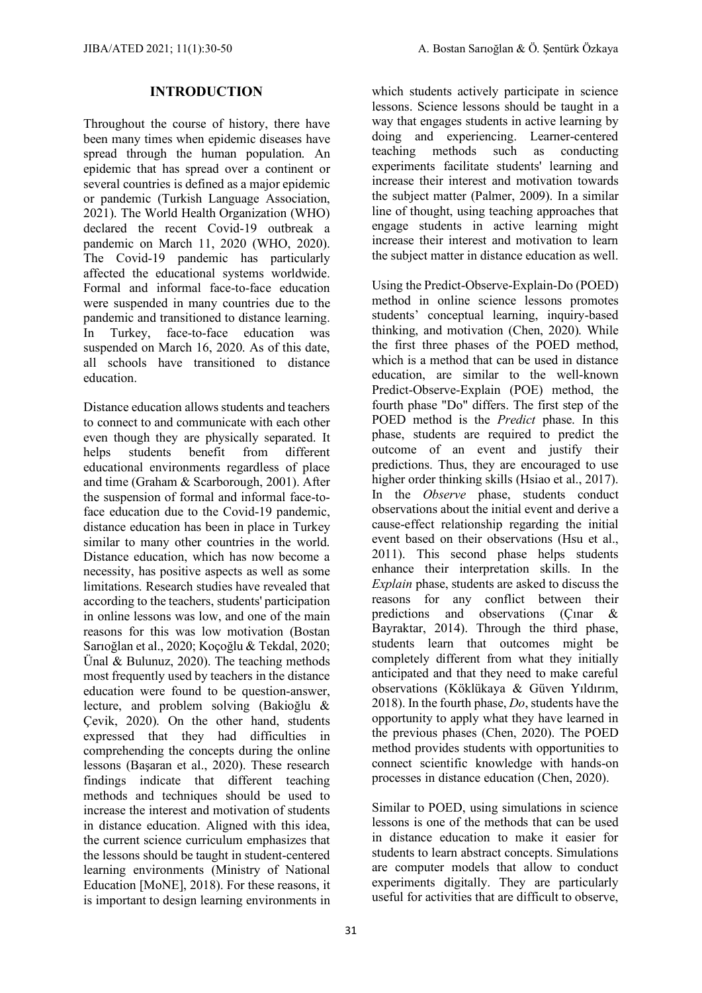#### **INTRODUCTION**

Throughout the course of history, there have been many times when epidemic diseases have spread through the human population. An epidemic that has spread over a continent or several countries is defined as a major epidemic or pandemic (Turkish Language Association, 2021). The World Health Organization (WHO) declared the recent Covid-19 outbreak a pandemic on March 11, 2020 (WHO, 2020). The Covid-19 pandemic has particularly affected the educational systems worldwide. Formal and informal face-to-face education were suspended in many countries due to the pandemic and transitioned to distance learning. In Turkey, face-to-face education was suspended on March 16, 2020. As of this date, all schools have transitioned to distance education.

Distance education allows students and teachers to connect to and communicate with each other even though they are physically separated. It helps students benefit from different educational environments regardless of place and time (Graham & Scarborough, 2001). After the suspension of formal and informal face-toface education due to the Covid-19 pandemic, distance education has been in place in Turkey similar to many other countries in the world. Distance education, which has now become a necessity, has positive aspects as well as some limitations. Research studies have revealed that according to the teachers, students' participation in online lessons was low, and one of the main reasons for this was low motivation (Bostan Sarıoğlan et al., 2020; Koçoğlu & Tekdal, 2020; Ünal & Bulunuz, 2020). The teaching methods most frequently used by teachers in the distance education were found to be question-answer, lecture, and problem solving (Bakioğlu & Çevik, 2020). On the other hand, students expressed that they had difficulties in comprehending the concepts during the online lessons (Başaran et al., 2020). These research findings indicate that different teaching methods and techniques should be used to increase the interest and motivation of students in distance education. Aligned with this idea, the current science curriculum emphasizes that the lessons should be taught in student-centered learning environments (Ministry of National Education [MoNE], 2018). For these reasons, it is important to design learning environments in which students actively participate in science lessons. Science lessons should be taught in a way that engages students in active learning by doing and experiencing. Learner-centered teaching methods such as conducting experiments facilitate students' learning and increase their interest and motivation towards the subject matter (Palmer, 2009). In a similar line of thought, using teaching approaches that engage students in active learning might increase their interest and motivation to learn the subject matter in distance education as well.

Using the Predict-Observe-Explain-Do (POED) method in online science lessons promotes students' conceptual learning, inquiry-based thinking, and motivation (Chen, 2020). While the first three phases of the POED method, which is a method that can be used in distance education, are similar to the well-known Predict-Observe-Explain (POE) method, the fourth phase "Do" differs. The first step of the POED method is the *Predict* phase. In this phase, students are required to predict the outcome of an event and justify their predictions. Thus, they are encouraged to use higher order thinking skills (Hsiao et al., 2017). In the *Observe* phase, students conduct observations about the initial event and derive a cause-effect relationship regarding the initial event based on their observations (Hsu et al., 2011). This second phase helps students enhance their interpretation skills. In the *Explain* phase, students are asked to discuss the reasons for any conflict between their predictions and observations (Çınar & Bayraktar, 2014). Through the third phase, students learn that outcomes might be completely different from what they initially anticipated and that they need to make careful observations (Köklükaya & Güven Yıldırım, 2018). In the fourth phase, *Do*, students have the opportunity to apply what they have learned in the previous phases (Chen, 2020). The POED method provides students with opportunities to connect scientific knowledge with hands-on processes in distance education (Chen, 2020).

Similar to POED, using simulations in science lessons is one of the methods that can be used in distance education to make it easier for students to learn abstract concepts. Simulations are computer models that allow to conduct experiments digitally. They are particularly useful for activities that are difficult to observe,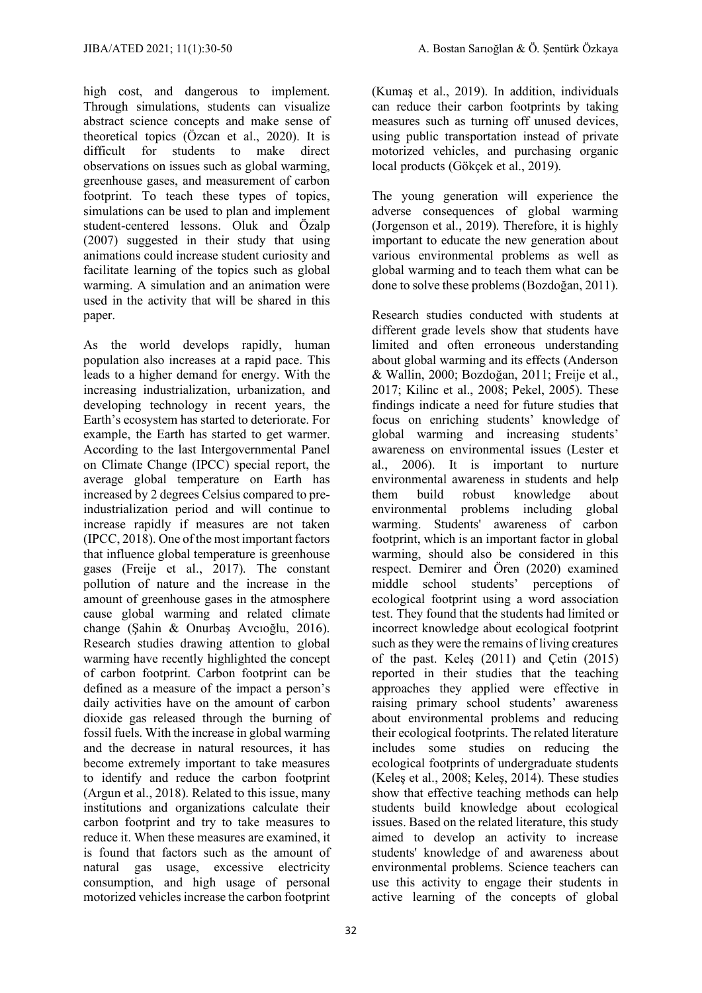high cost, and dangerous to implement. Through simulations, students can visualize abstract science concepts and make sense of theoretical topics (Özcan et al., 2020). It is difficult for students to make direct observations on issues such as global warming, greenhouse gases, and measurement of carbon footprint. To teach these types of topics, simulations can be used to plan and implement student-centered lessons. Oluk and Özalp (2007) suggested in their study that using animations could increase student curiosity and facilitate learning of the topics such as global warming. A simulation and an animation were used in the activity that will be shared in this paper.

As the world develops rapidly, human population also increases at a rapid pace. This leads to a higher demand for energy. With the increasing industrialization, urbanization, and developing technology in recent years, the Earth's ecosystem has started to deteriorate. For example, the Earth has started to get warmer. According to the last Intergovernmental Panel on Climate Change (IPCC) special report, the average global temperature on Earth has increased by 2 degrees Celsius compared to preindustrialization period and will continue to increase rapidly if measures are not taken (IPCC, 2018). One of the most important factors that influence global temperature is greenhouse gases (Freije et al., 2017). The constant pollution of nature and the increase in the amount of greenhouse gases in the atmosphere cause global warming and related climate change (Şahin & Onurbaş Avcıoğlu, 2016). Research studies drawing attention to global warming have recently highlighted the concept of carbon footprint. Carbon footprint can be defined as a measure of the impact a person's daily activities have on the amount of carbon dioxide gas released through the burning of fossil fuels. With the increase in global warming and the decrease in natural resources, it has become extremely important to take measures to identify and reduce the carbon footprint (Argun et al., 2018). Related to this issue, many institutions and organizations calculate their carbon footprint and try to take measures to reduce it. When these measures are examined, it is found that factors such as the amount of natural gas usage, excessive electricity consumption, and high usage of personal motorized vehicles increase the carbon footprint

(Kumaş et al., 2019). In addition, individuals can reduce their carbon footprints by taking measures such as turning off unused devices, using public transportation instead of private motorized vehicles, and purchasing organic local products (Gökçek et al., 2019).

The young generation will experience the adverse consequences of global warming (Jorgenson et al., 2019). Therefore, it is highly important to educate the new generation about various environmental problems as well as global warming and to teach them what can be done to solve these problems (Bozdoğan, 2011).

Research studies conducted with students at different grade levels show that students have limited and often erroneous understanding about global warming and its effects (Anderson & Wallin, 2000; Bozdoğan, 2011; Freije et al., 2017; Kilinc et al., 2008; Pekel, 2005). These findings indicate a need for future studies that focus on enriching students' knowledge of global warming and increasing students' awareness on environmental issues (Lester et al., 2006). It is important to nurture environmental awareness in students and help them build robust knowledge about environmental problems including global warming. Students' awareness of carbon footprint, which is an important factor in global warming, should also be considered in this respect. Demirer and Ören (2020) examined middle school students' perceptions of ecological footprint using a word association test. They found that the students had limited or incorrect knowledge about ecological footprint such as they were the remains of living creatures of the past. Keleş (2011) and Çetin (2015) reported in their studies that the teaching approaches they applied were effective in raising primary school students' awareness about environmental problems and reducing their ecological footprints. The related literature includes some studies on reducing the ecological footprints of undergraduate students (Keleş et al., 2008; Keleş, 2014). These studies show that effective teaching methods can help students build knowledge about ecological issues. Based on the related literature, this study aimed to develop an activity to increase students' knowledge of and awareness about environmental problems. Science teachers can use this activity to engage their students in active learning of the concepts of global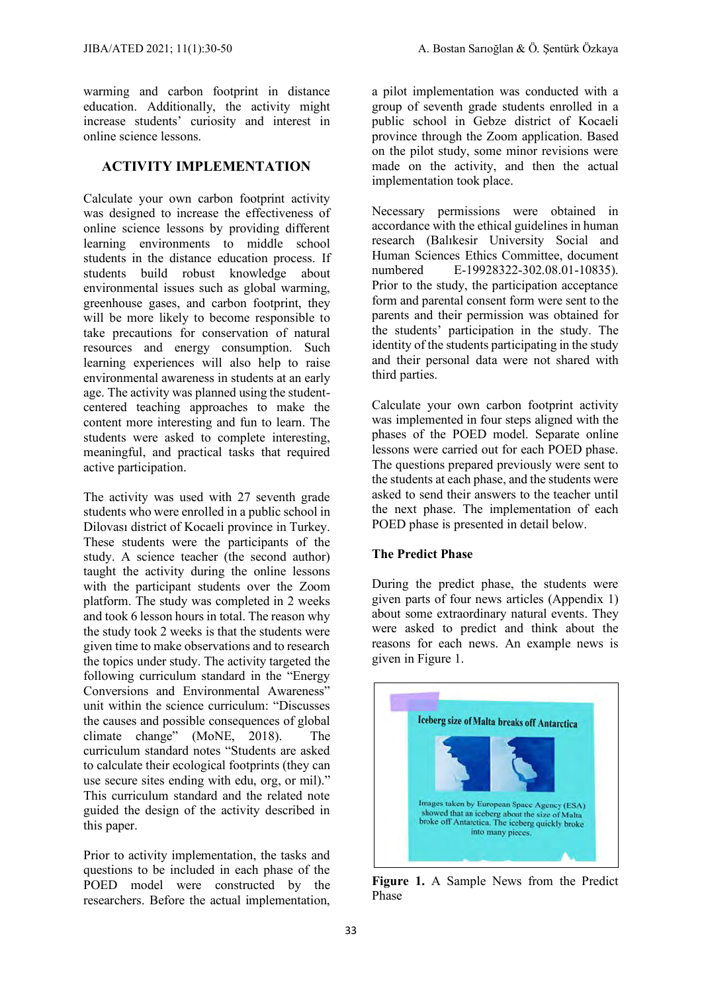warming and carbon footprint in distance education. Additionally, the activity might increase students' curiosity and interest in online science lessons.

# **ACTIVITY IMPLEMENTATION**

Calculate your own carbon footprint activity was designed to increase the effectiveness of online science lessons by providing different learning environments to middle school students in the distance education process. If students build robust knowledge about environmental issues such as global warming, greenhouse gases, and carbon footprint, they will be more likely to become responsible to take precautions for conservation of natural resources and energy consumption. Such learning experiences will also help to raise environmental awareness in students at an early age. The activity was planned using the studentcentered teaching approaches to make the content more interesting and fun to learn. The students were asked to complete interesting, meaningful, and practical tasks that required active participation.

The activity was used with 27 seventh grade students who were enrolled in a public school in Dilovası district of Kocaeli province in Turkey. These students were the participants of the study. A science teacher (the second author) taught the activity during the online lessons with the participant students over the Zoom platform. The study was completed in 2 weeks and took 6 lesson hours in total. The reason why the study took 2 weeks is that the students were given time to make observations and to research the topics under study. The activity targeted the following curriculum standard in the "Energy Conversions and Environmental Awareness" unit within the science curriculum: "Discusses the causes and possible consequences of global climate change" (MoNE, 2018). The curriculum standard notes "Students are asked to calculate their ecological footprints (they can use secure sites ending with edu, org, or mil)." This curriculum standard and the related note guided the design of the activity described in this paper.

Prior to activity implementation, the tasks and questions to be included in each phase of the POED model were constructed by the researchers. Before the actual implementation,

a pilot implementation was conducted with a group of seventh grade students enrolled in a public school in Gebze district of Kocaeli province through the Zoom application. Based on the pilot study, some minor revisions were made on the activity, and then the actual implementation took place.

Necessary permissions were obtained in accordance with the ethical guidelines in human research (Balıkesir University Social and Human Sciences Ethics Committee, document numbered E-19928322-302.08.01-10835). Prior to the study, the participation acceptance form and parental consent form were sent to the parents and their permission was obtained for the students' participation in the study. The identity of the students participating in the study and their personal data were not shared with third parties.

Calculate your own carbon footprint activity was implemented in four steps aligned with the phases of the POED model. Separate online lessons were carried out for each POED phase. The questions prepared previously were sent to the students at each phase, and the students were asked to send their answers to the teacher until the next phase. The implementation of each POED phase is presented in detail below.

#### **The Predict Phase**

During the predict phase, the students were given parts of four news articles (Appendix 1) about some extraordinary natural events. They were asked to predict and think about the reasons for each news. An example news is given in Figure 1.



**Figure 1.** A Sample News from the Predict Phase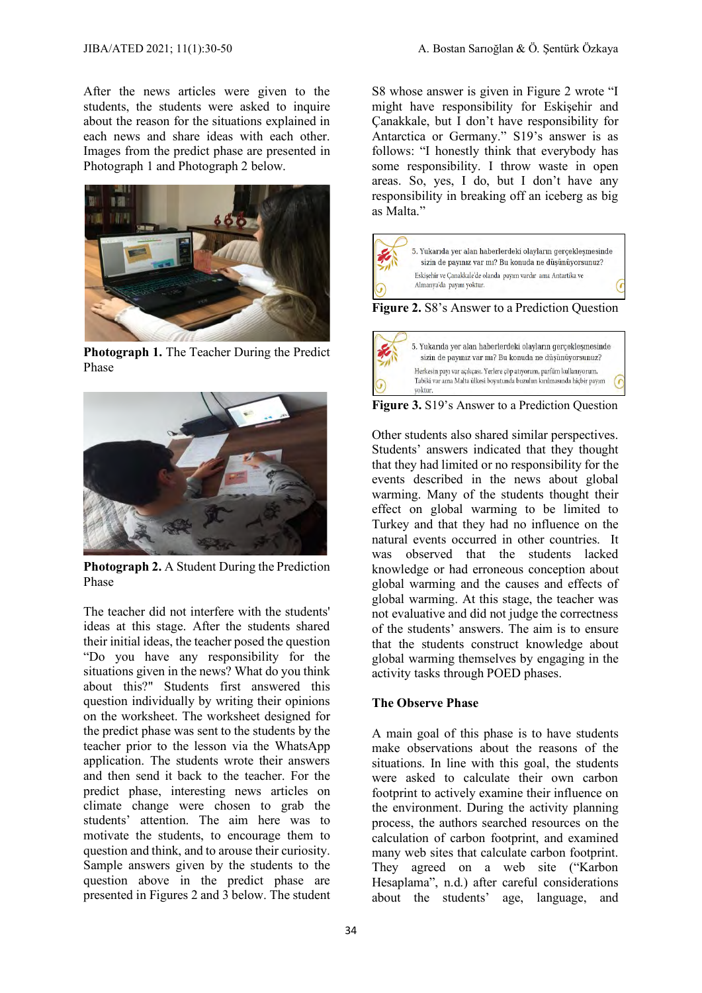After the news articles were given to the students, the students were asked to inquire about the reason for the situations explained in each news and share ideas with each other. Images from the predict phase are presented in Photograph 1 and Photograph 2 below.



**Photograph 1.** The Teacher During the Predict Phase



**Photograph 2.** A Student During the Prediction Phase

The teacher did not interfere with the students' ideas at this stage. After the students shared their initial ideas, the teacher posed the question "Do you have any responsibility for the situations given in the news? What do you think about this?" Students first answered this question individually by writing their opinions on the worksheet. The worksheet designed for the predict phase was sent to the students by the teacher prior to the lesson via the WhatsApp application. The students wrote their answers and then send it back to the teacher. For the predict phase, interesting news articles on climate change were chosen to grab the students' attention. The aim here was to motivate the students, to encourage them to question and think, and to arouse their curiosity. Sample answers given by the students to the question above in the predict phase are presented in Figures 2 and 3 below. The student S8 whose answer is given in Figure 2 wrote "I might have responsibility for Eskişehir and Çanakkale, but I don't have responsibility for Antarctica or Germany." S19's answer is as follows: "I honestly think that everybody has some responsibility. I throw waste in open areas. So, yes, I do, but I don't have any responsibility in breaking off an iceberg as big as Malta."



**Figure 3.** S19's Answer to a Prediction Question

Tabiki var ama Malta ülkesi boyutunda buzulun kırılmasında hiçbir payım

Other students also shared similar perspectives. Students' answers indicated that they thought that they had limited or no responsibility for the events described in the news about global warming. Many of the students thought their effect on global warming to be limited to Turkey and that they had no influence on the natural events occurred in other countries. It was observed that the students lacked knowledge or had erroneous conception about global warming and the causes and effects of global warming. At this stage, the teacher was not evaluative and did not judge the correctness of the students' answers. The aim is to ensure that the students construct knowledge about global warming themselves by engaging in the activity tasks through POED phases.

#### **The Observe Phase**

yoktur

A main goal of this phase is to have students make observations about the reasons of the situations. In line with this goal, the students were asked to calculate their own carbon footprint to actively examine their influence on the environment. During the activity planning process, the authors searched resources on the calculation of carbon footprint, and examined many web sites that calculate carbon footprint. They agreed on a web site ("Karbon Hesaplama", n.d.) after careful considerations about the students' age, language, and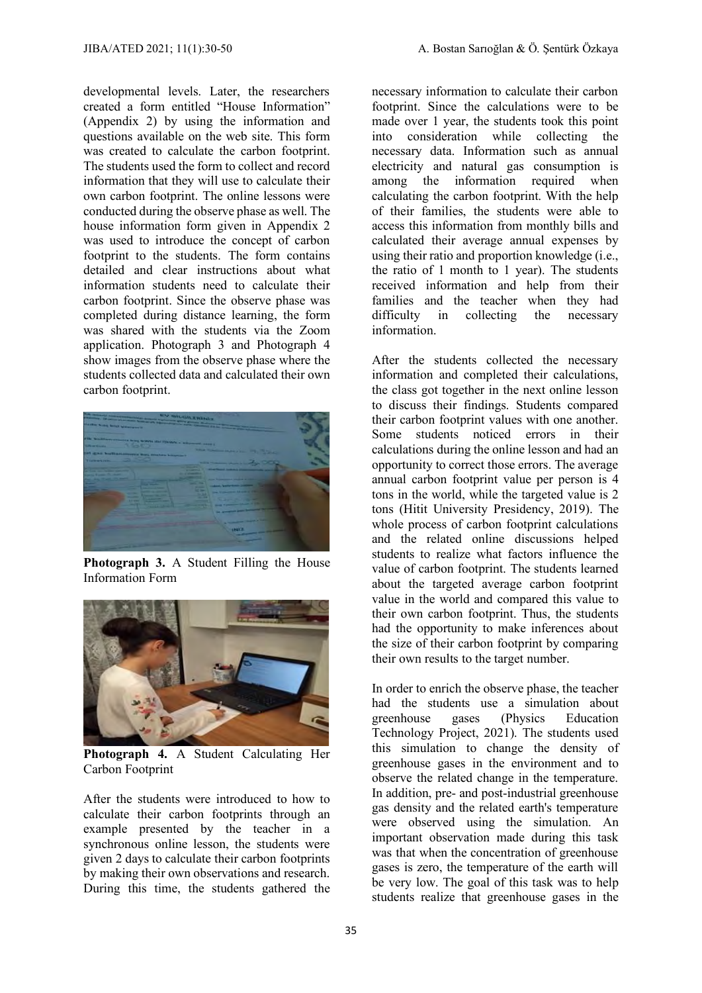developmental levels. Later, the researchers created a form entitled "House Information" (Appendix 2) by using the information and questions available on the web site. This form was created to calculate the carbon footprint. The students used the form to collect and record information that they will use to calculate their own carbon footprint. The online lessons were conducted during the observe phase as well. The house information form given in Appendix 2 was used to introduce the concept of carbon footprint to the students. The form contains detailed and clear instructions about what information students need to calculate their carbon footprint. Since the observe phase was completed during distance learning, the form was shared with the students via the Zoom application. Photograph 3 and Photograph 4 show images from the observe phase where the students collected data and calculated their own carbon footprint.



**Photograph 3.** A Student Filling the House Information Form



**Photograph 4.** A Student Calculating Her Carbon Footprint

After the students were introduced to how to calculate their carbon footprints through an example presented by the teacher in a synchronous online lesson, the students were given 2 days to calculate their carbon footprints by making their own observations and research. During this time, the students gathered the

necessary information to calculate their carbon footprint. Since the calculations were to be made over 1 year, the students took this point into consideration while collecting the necessary data. Information such as annual electricity and natural gas consumption is among the information required when calculating the carbon footprint. With the help of their families, the students were able to access this information from monthly bills and calculated their average annual expenses by using their ratio and proportion knowledge (i.e., the ratio of 1 month to 1 year). The students received information and help from their families and the teacher when they had difficulty in collecting the necessary information.

After the students collected the necessary information and completed their calculations, the class got together in the next online lesson to discuss their findings. Students compared their carbon footprint values with one another. Some students noticed errors in their calculations during the online lesson and had an opportunity to correct those errors. The average annual carbon footprint value per person is 4 tons in the world, while the targeted value is 2 tons (Hitit University Presidency, 2019). The whole process of carbon footprint calculations and the related online discussions helped students to realize what factors influence the value of carbon footprint. The students learned about the targeted average carbon footprint value in the world and compared this value to their own carbon footprint. Thus, the students had the opportunity to make inferences about the size of their carbon footprint by comparing their own results to the target number.

In order to enrich the observe phase, the teacher had the students use a simulation about greenhouse gases (Physics Education Technology Project, 2021). The students used this simulation to change the density of greenhouse gases in the environment and to observe the related change in the temperature. In addition, pre- and post-industrial greenhouse gas density and the related earth's temperature were observed using the simulation. An important observation made during this task was that when the concentration of greenhouse gases is zero, the temperature of the earth will be very low. The goal of this task was to help students realize that greenhouse gases in the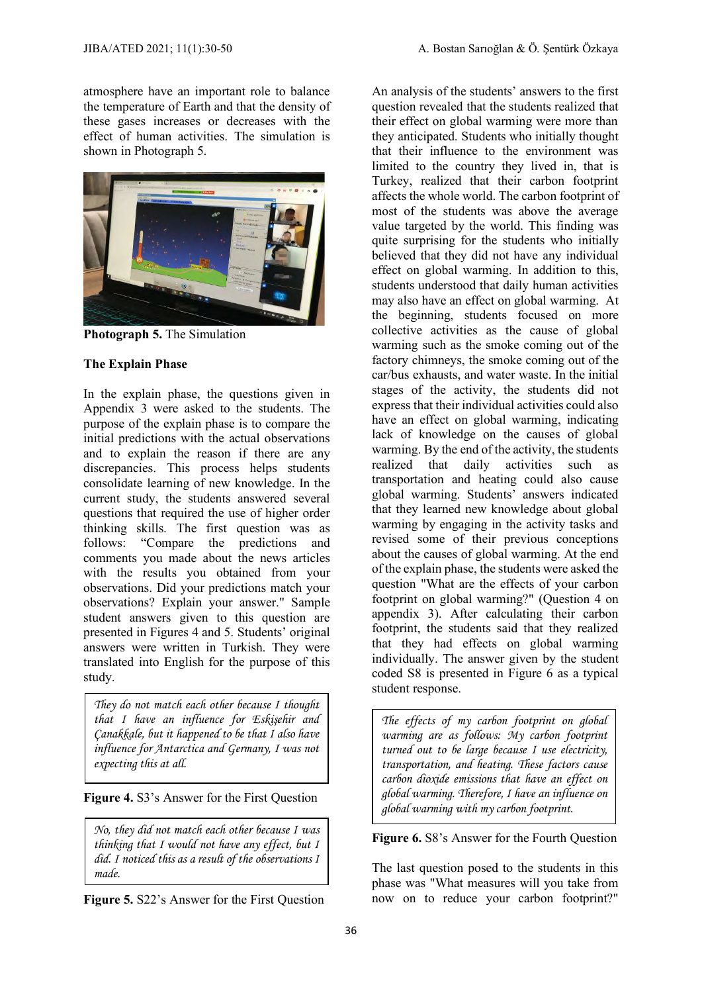atmosphere have an important role to balance the temperature of Earth and that the density of these gases increases or decreases with the effect of human activities. The simulation is shown in Photograph 5.



**Photograph 5.** The Simulation

#### **The Explain Phase**

In the explain phase, the questions given in Appendix 3 were asked to the students. The purpose of the explain phase is to compare the initial predictions with the actual observations and to explain the reason if there are any discrepancies. This process helps students consolidate learning of new knowledge. In the current study, the students answered several questions that required the use of higher order thinking skills. The first question was as follows: "Compare the predictions and comments you made about the news articles with the results you obtained from your observations. Did your predictions match your observations? Explain your answer." Sample student answers given to this question are presented in Figures 4 and 5. Students' original answers were written in Turkish. They were translated into English for the purpose of this study.

*They do not match each other because I thought that I have an influence for Eskişehir and Çanakkale, but it happened to be that I also have influence for Antarctica and Germany, I was not expecting this at all.* 

**Figure 4.** S3's Answer for the First Question

*No, they did not match each other because I was thinking that I would not have any effect, but I did. I noticed this as a result of the observations I made.*

**Figure 5.** S22's Answer for the First Question

An analysis of the students' answers to the first question revealed that the students realized that their effect on global warming were more than they anticipated. Students who initially thought that their influence to the environment was limited to the country they lived in, that is Turkey, realized that their carbon footprint affects the whole world. The carbon footprint of most of the students was above the average value targeted by the world. This finding was quite surprising for the students who initially believed that they did not have any individual effect on global warming. In addition to this, students understood that daily human activities may also have an effect on global warming. At the beginning, students focused on more collective activities as the cause of global warming such as the smoke coming out of the factory chimneys, the smoke coming out of the car/bus exhausts, and water waste. In the initial stages of the activity, the students did not express that their individual activities could also have an effect on global warming, indicating lack of knowledge on the causes of global warming. By the end of the activity, the students realized that daily activities such as transportation and heating could also cause global warming. Students' answers indicated that they learned new knowledge about global warming by engaging in the activity tasks and revised some of their previous conceptions about the causes of global warming. At the end of the explain phase, the students were asked the question "What are the effects of your carbon footprint on global warming?" (Question 4 on appendix 3). After calculating their carbon footprint, the students said that they realized that they had effects on global warming individually. The answer given by the student coded S8 is presented in Figure 6 as a typical student response.

*The effects of my carbon footprint on global warming are as follows: My carbon footprint turned out to be large because I use electricity, transportation, and heating. These factors cause carbon dioxide emissions that have an effect on global warming. Therefore, I have an influence on global warming with my carbon footprint.* 

### **Figure 6.** S8's Answer for the Fourth Question

The last question posed to the students in this phase was "What measures will you take from now on to reduce your carbon footprint?"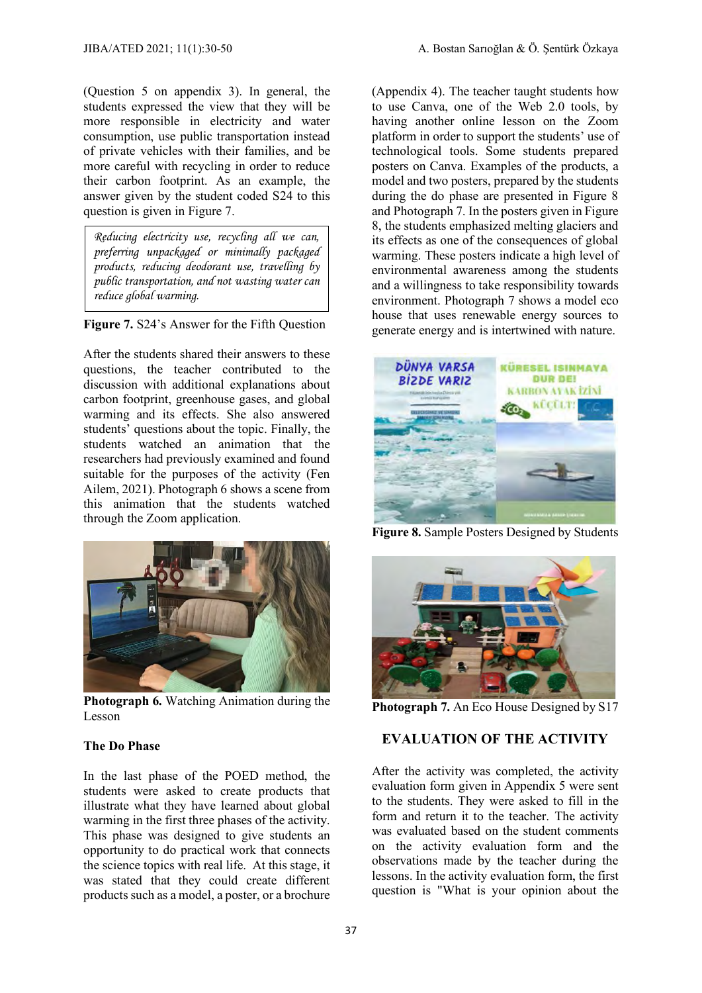(Question 5 on appendix 3). In general, the students expressed the view that they will be more responsible in electricity and water consumption, use public transportation instead of private vehicles with their families, and be more careful with recycling in order to reduce their carbon footprint. As an example, the answer given by the student coded S24 to this question is given in Figure 7.

*Reducing electricity use, recycling all we can, preferring unpackaged or minimally packaged products, reducing deodorant use, travelling by public transportation, and not wasting water can reduce global warming.*

**Figure 7.** S24's Answer for the Fifth Question

After the students shared their answers to these questions, the teacher contributed to the discussion with additional explanations about carbon footprint, greenhouse gases, and global warming and its effects. She also answered students' questions about the topic. Finally, the students watched an animation that the researchers had previously examined and found suitable for the purposes of the activity (Fen Ailem, 2021). Photograph 6 shows a scene from this animation that the students watched through the Zoom application.



**Photograph 6.** Watching Animation during the Lesson

#### **The Do Phase**

In the last phase of the POED method, the students were asked to create products that illustrate what they have learned about global warming in the first three phases of the activity. This phase was designed to give students an opportunity to do practical work that connects the science topics with real life. At this stage, it was stated that they could create different products such as a model, a poster, or a brochure

(Appendix 4). The teacher taught students how to use Canva, one of the Web 2.0 tools, by having another online lesson on the Zoom platform in order to support the students' use of technological tools. Some students prepared posters on Canva. Examples of the products, a model and two posters, prepared by the students during the do phase are presented in Figure 8 and Photograph 7. In the posters given in Figure 8, the students emphasized melting glaciers and its effects as one of the consequences of global warming. These posters indicate a high level of environmental awareness among the students and a willingness to take responsibility towards environment. Photograph 7 shows a model eco house that uses renewable energy sources to generate energy and is intertwined with nature.



**Figure 8.** Sample Posters Designed by Students



**Photograph 7.** An Eco House Designed by S17

#### **EVALUATION OF THE ACTIVITY**

After the activity was completed, the activity evaluation form given in Appendix 5 were sent to the students. They were asked to fill in the form and return it to the teacher. The activity was evaluated based on the student comments on the activity evaluation form and the observations made by the teacher during the lessons. In the activity evaluation form, the first question is "What is your opinion about the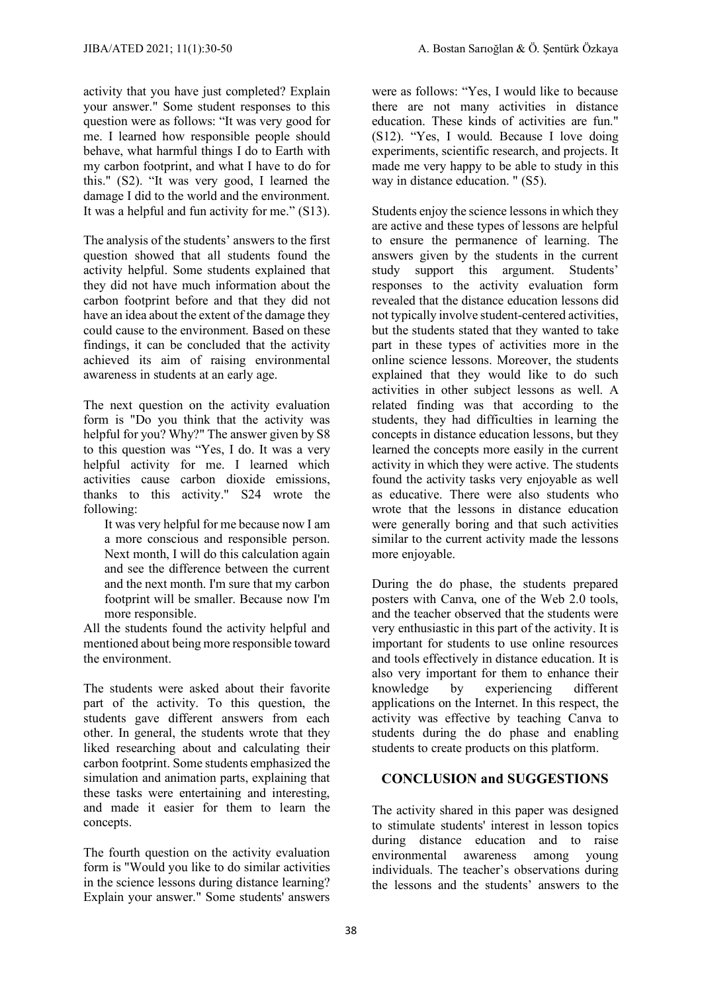activity that you have just completed? Explain your answer." Some student responses to this question were as follows: "It was very good for me. I learned how responsible people should behave, what harmful things I do to Earth with my carbon footprint, and what I have to do for this." (S2). "It was very good, I learned the damage I did to the world and the environment. It was a helpful and fun activity for me." (S13).

The analysis of the students' answers to the first question showed that all students found the activity helpful. Some students explained that they did not have much information about the carbon footprint before and that they did not have an idea about the extent of the damage they could cause to the environment. Based on these findings, it can be concluded that the activity achieved its aim of raising environmental awareness in students at an early age.

The next question on the activity evaluation form is "Do you think that the activity was helpful for you? Why?" The answer given by S8 to this question was "Yes, I do. It was a very helpful activity for me. I learned which activities cause carbon dioxide emissions, thanks to this activity." S24 wrote the following:

It was very helpful for me because now I am a more conscious and responsible person. Next month, I will do this calculation again and see the difference between the current and the next month. I'm sure that my carbon footprint will be smaller. Because now I'm more responsible.

All the students found the activity helpful and mentioned about being more responsible toward the environment.

The students were asked about their favorite part of the activity. To this question, the students gave different answers from each other. In general, the students wrote that they liked researching about and calculating their carbon footprint. Some students emphasized the simulation and animation parts, explaining that these tasks were entertaining and interesting, and made it easier for them to learn the concepts.

The fourth question on the activity evaluation form is "Would you like to do similar activities in the science lessons during distance learning? Explain your answer." Some students' answers

were as follows: "Yes, I would like to because there are not many activities in distance education. These kinds of activities are fun." (S12). "Yes, I would. Because I love doing experiments, scientific research, and projects. It made me very happy to be able to study in this way in distance education. " (S5).

Students enjoy the science lessons in which they are active and these types of lessons are helpful to ensure the permanence of learning. The answers given by the students in the current study support this argument. Students' responses to the activity evaluation form revealed that the distance education lessons did not typically involve student-centered activities, but the students stated that they wanted to take part in these types of activities more in the online science lessons. Moreover, the students explained that they would like to do such activities in other subject lessons as well. A related finding was that according to the students, they had difficulties in learning the concepts in distance education lessons, but they learned the concepts more easily in the current activity in which they were active. The students found the activity tasks very enjoyable as well as educative. There were also students who wrote that the lessons in distance education were generally boring and that such activities similar to the current activity made the lessons more enjoyable.

During the do phase, the students prepared posters with Canva, one of the Web 2.0 tools, and the teacher observed that the students were very enthusiastic in this part of the activity. It is important for students to use online resources and tools effectively in distance education. It is also very important for them to enhance their knowledge by experiencing different applications on the Internet. In this respect, the activity was effective by teaching Canva to students during the do phase and enabling students to create products on this platform.

# **CONCLUSION and SUGGESTIONS**

The activity shared in this paper was designed to stimulate students' interest in lesson topics during distance education and to raise environmental awareness among young individuals. The teacher's observations during the lessons and the students' answers to the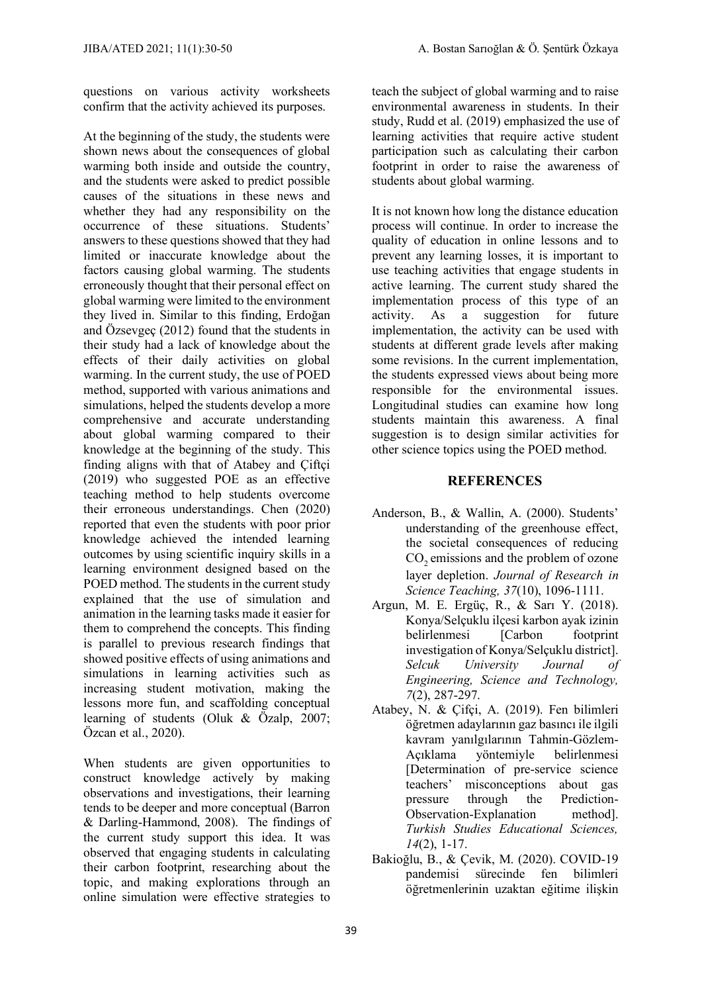questions on various activity worksheets confirm that the activity achieved its purposes.

At the beginning of the study, the students were shown news about the consequences of global warming both inside and outside the country, and the students were asked to predict possible causes of the situations in these news and whether they had any responsibility on the occurrence of these situations. Students' answers to these questions showed that they had limited or inaccurate knowledge about the factors causing global warming. The students erroneously thought that their personal effect on global warming were limited to the environment they lived in. Similar to this finding, Erdoğan and Özsevgeç (2012) found that the students in their study had a lack of knowledge about the effects of their daily activities on global warming. In the current study, the use of POED method, supported with various animations and simulations, helped the students develop a more comprehensive and accurate understanding about global warming compared to their knowledge at the beginning of the study. This finding aligns with that of Atabey and Çiftçi (2019) who suggested POE as an effective teaching method to help students overcome their erroneous understandings. Chen (2020) reported that even the students with poor prior knowledge achieved the intended learning outcomes by using scientific inquiry skills in a learning environment designed based on the POED method. The students in the current study explained that the use of simulation and animation in the learning tasks made it easier for them to comprehend the concepts. This finding is parallel to previous research findings that showed positive effects of using animations and simulations in learning activities such as increasing student motivation, making the lessons more fun, and scaffolding conceptual learning of students (Oluk & Özalp, 2007; Özcan et al., 2020).

When students are given opportunities to construct knowledge actively by making observations and investigations, their learning tends to be deeper and more conceptual (Barron & Darling-Hammond, 2008). The findings of the current study support this idea. It was observed that engaging students in calculating their carbon footprint, researching about the topic, and making explorations through an online simulation were effective strategies to teach the subject of global warming and to raise environmental awareness in students. In their study, Rudd et al. (2019) emphasized the use of learning activities that require active student participation such as calculating their carbon footprint in order to raise the awareness of students about global warming.

It is not known how long the distance education process will continue. In order to increase the quality of education in online lessons and to prevent any learning losses, it is important to use teaching activities that engage students in active learning. The current study shared the implementation process of this type of an activity. As a suggestion for future implementation, the activity can be used with students at different grade levels after making some revisions. In the current implementation, the students expressed views about being more responsible for the environmental issues. Longitudinal studies can examine how long students maintain this awareness. A final suggestion is to design similar activities for other science topics using the POED method.

#### **REFERENCES**

- Anderson, B., & Wallin, A. (2000). Students' understanding of the greenhouse effect, the societal consequences of reducing CO<sub>2</sub> emissions and the problem of ozone layer depletion. *Journal of Research in Science Teaching, 37*(10), 1096-1111.
- Argun, M. E. Ergüç, R., & Sarı Y. (2018). Konya/Selçuklu ilçesi karbon ayak izinin belirlenmesi [Carbon footprint] investigation of Konya/Selçuklu district]. *Selcuk University Journal of Engineering, Science and Technology, 7*(2), 287-297.
- Atabey, N. & Çifçi, A. (2019). Fen bilimleri öğretmen adaylarının gaz basıncı ile ilgili kavram yanılgılarının Tahmin-Gözlem-Açıklama yöntemiyle belirlenmesi [Determination of pre-service science teachers' misconceptions about gas pressure through the Prediction-Observation-Explanation method]. *Turkish Studies Educational Sciences, 14*(2), 1-17.
- Bakioğlu, B., & Çevik, M. (2020). COVID-19 pandemisi sürecinde fen bilimleri öğretmenlerinin uzaktan eğitime ilişkin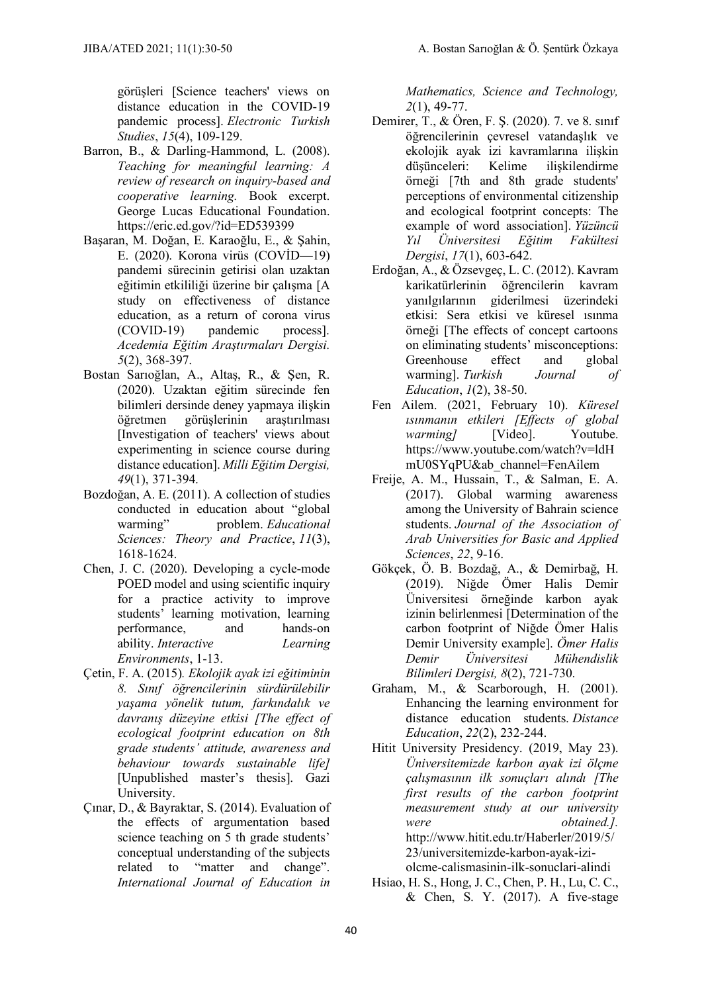görüşleri [Science teachers' views on distance education in the COVID-19 pandemic process]. *Electronic Turkish Studies*, *15*(4), 109-129.

- Barron, B., & Darling-Hammond, L. (2008). *Teaching for meaningful learning: A review of research on inquiry-based and cooperative learning.* Book excerpt. George Lucas Educational Foundation. https://eric.ed.gov/?id=ED539399
- Başaran, M. Doğan, E. Karaoğlu, E., & Şahin, E. (2020). Korona virüs (COVİD—19) pandemi sürecinin getirisi olan uzaktan eğitimin etkililiği üzerine bir çalışma [A study on effectiveness of distance education, as a return of corona virus (COVID-19) pandemic process]. *Acedemia Eğitim Araştırmaları Dergisi. 5*(2), 368-397.
- Bostan Sarıoğlan, A., Altaş, R., & Şen, R. (2020). Uzaktan eğitim sürecinde fen bilimleri dersinde deney yapmaya ilişkin öğretmen görüşlerinin araştırılması [Investigation of teachers' views about experimenting in science course during distance education]. *Milli Eğitim Dergisi, 49*(1), 371-394.
- Bozdoğan, A. E. (2011). A collection of studies conducted in education about "global warming" problem. Educational problem. *Educational Sciences: Theory and Practice*, *11*(3), 1618-1624.
- Chen, J. C. (2020). Developing a cycle-mode POED model and using scientific inquiry for a practice activity to improve students' learning motivation, learning performance, and hands-on ability. *Interactive Learning Environments*, 1-13.
- Çetin, F. A. (2015)*. Ekolojik ayak izi eğitiminin 8. Sınıf öğrencilerinin sürdürülebilir yaşama yönelik tutum, farkındalık ve davranış düzeyine etkisi [The effect of ecological footprint education on 8th grade students' attitude, awareness and behaviour towards sustainable life]* [Unpublished master's thesis]. Gazi University.
- Çınar, D., & Bayraktar, S. (2014). Evaluation of the effects of argumentation based science teaching on 5 th grade students' conceptual understanding of the subjects related to "matter and change". *International Journal of Education in*

*Mathematics, Science and Technology, 2*(1), 49-77.

- Demirer, T., & Ören, F. Ş. (2020). 7. ve 8. sınıf öğrencilerinin çevresel vatandaşlık ve ekolojik ayak izi kavramlarına ilişkin düşünceleri: Kelime ilişkilendirme örneği [7th and 8th grade students' perceptions of environmental citizenship and ecological footprint concepts: The example of word association]. *Yüzüncü Yıl Üniversitesi Eğitim Fakültesi Dergisi*, *17*(1), 603-642.
- Erdoğan, A., & Özsevgeç, L. C. (2012). Kavram karikatürlerinin öğrencilerin kavram yanılgılarının giderilmesi üzerindeki etkisi: Sera etkisi ve küresel ısınma örneği [The effects of concept cartoons on eliminating students' misconceptions: Greenhouse effect and global warming]. *Turkish Journal of Education*, *1*(2), 38-50.
- Fen Ailem. (2021, February 10). *Küresel ısınmanın etkileri [Effects of global warming* [Video]. Youtube. [https://www.youtube.com/watch?v=ldH](https://www.youtube.com/watch?v=ldHmU0SYqPU&ab_channel=FenAilem) [mU0SYqPU&ab\\_channel=FenAilem](https://www.youtube.com/watch?v=ldHmU0SYqPU&ab_channel=FenAilem)
- Freije, A. M., Hussain, T., & Salman, E. A. (2017). Global warming awareness among the University of Bahrain science students. *Journal of the Association of Arab Universities for Basic and Applied Sciences*, *22*, 9-16.
- Gökçek, Ö. B. Bozdağ, A., & Demirbağ, H. (2019). Niğde Ömer Halis Demir Üniversitesi örneğinde karbon ayak izinin belirlenmesi [Determination of the carbon footprint of Niğde Ömer Halis Demir University example]. *Ömer Halis Demir Üniversitesi Mühendislik Bilimleri Dergisi, 8*(2), 721-730.
- Graham, M., & Scarborough, H. (2001). Enhancing the learning environment for distance education students. *Distance Education*, *22*(2), 232-244.
- Hitit University Presidency. (2019, May 23). *Üniversitemizde karbon ayak izi ölçme çalışmasının ilk sonuçları alındı [The first results of the carbon footprint measurement study at our university were obtained.].* http://www.hitit.edu.tr/Haberler/2019/5/ 23/universitemizde-karbon-ayak-iziolcme-calismasinin-ilk-sonuclari-alindi
- Hsiao, H. S., Hong, J. C., Chen, P. H., Lu, C. C.,  $& Chen, S. Y. (2017). A five-stage$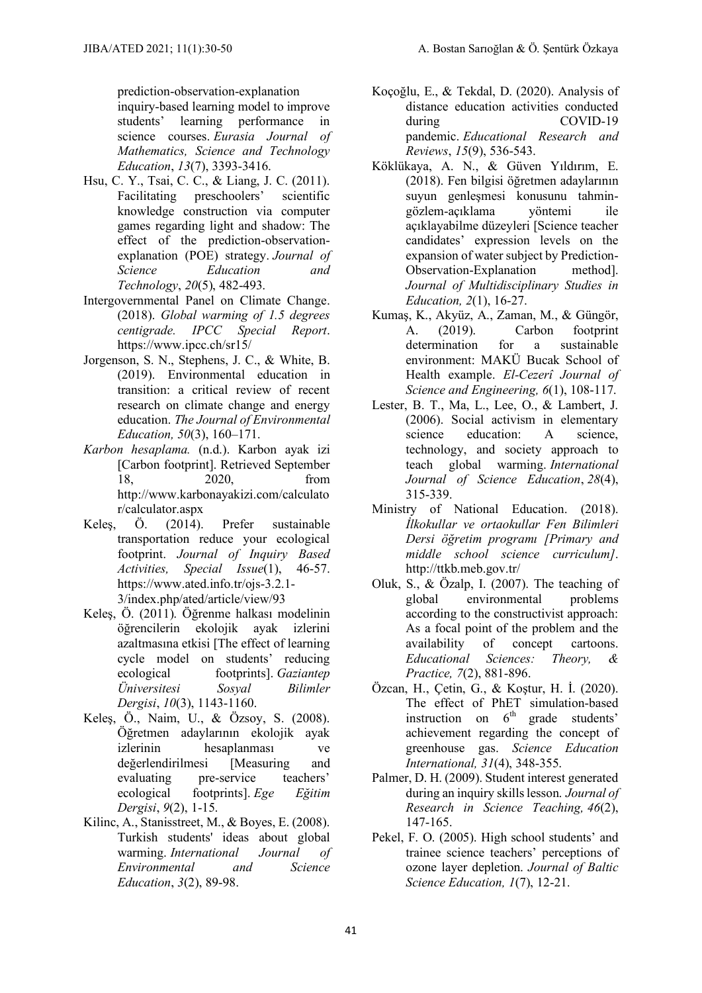prediction-observation-explanation inquiry-based learning model to improve students' learning performance in science courses. *Eurasia Journal of Mathematics, Science and Technology Education*, *13*(7), 3393-3416.

- Hsu, C. Y., Tsai, C. C., & Liang, J. C. (2011). Facilitating preschoolers' scientific knowledge construction via computer games regarding light and shadow: The effect of the prediction-observationexplanation (POE) strategy. *Journal of Science Education and Technology*, *20*(5), 482-493.
- Intergovernmental Panel on Climate Change. (2018). *Global warming of 1.5 degrees centigrade. IPCC Special Report*. <https://www.ipcc.ch/sr15/>
- Jorgenson, S. N., Stephens, J. C., & White, B. (2019). Environmental education in transition: a critical review of recent research on climate change and energy education. *The Journal of Environmental Education, 50*(3), 160–171.
- *Karbon hesaplama.* (n.d.). Karbon ayak izi [Carbon footprint]. Retrieved September 18, 2020, from [http://www.karbonayakizi.com/calculato](http://www.karbonayakizi.com/calculator/calculator.aspx) [r/calculator.aspx](http://www.karbonayakizi.com/calculator/calculator.aspx)
- Keleş, Ö. (2014). Prefer sustainable transportation reduce your ecological footprint. *Journal of Inquiry Based Activities, Special Issue*(1), 46-57. https://www.ated.info.tr/ojs-3.2.1- 3/index.php/ated/article/view/93
- Keleş, Ö. (2011). Öğrenme halkası modelinin öğrencilerin ekolojik ayak izlerini azaltmasına etkisi [The effect of learning cycle model on students' reducing ecological footprints]. *Gaziantep Üniversitesi Sosyal Bilimler Dergisi*, *10*(3), 1143-1160.
- Keleş, Ö., Naim, U., & Özsoy, S. (2008). Öğretmen adaylarının ekolojik ayak izlerinin hesaplanması ve değerlendirilmesi [Measuring and evaluating pre-service teachers' ecological footprints]. *Ege Eğitim Dergisi*, *9*(2), 1-15.
- Kilinc, A., Stanisstreet, M., & Boyes, E. (2008). Turkish students' ideas about global<br>warming *International Journal of* warming. *International Journal of Environmental and Science Education*, *3*(2), 89-98.
- Koçoğlu, E., & Tekdal, D. (2020). Analysis of distance education activities conducted during COVID-19 pandemic. *Educational Research and Reviews*, *15*(9), 536-543.
- Köklükaya, A. N., & Güven Yıldırım, E. (2018). Fen bilgisi öğretmen adaylarının suyun genleşmesi konusunu tahmingözlem-açıklama yöntemi ile açıklayabilme düzeyleri [Science teacher candidates' expression levels on the expansion of water subject by Prediction-Observation-Explanation method]. *Journal of Multidisciplinary Studies in Education, 2*(1), 16-27.
- Kumaş, K., Akyüz, A., Zaman, M., & Güngör, A. (2019). Carbon footprint determination for a sustainable environment: MAKÜ Bucak School of Health example. *El-Cezerî Journal of Science and Engineering, 6*(1), 108-117.
- Lester, B. T., Ma, L., Lee, O., & Lambert, J. (2006). Social activism in elementary science education: A science technology, and society approach to teach global warming. *International Journal of Science Education*, *28*(4), 315-339.
- Ministry of National Education. (2018). *İlkokullar ve ortaokullar Fen Bilimleri Dersi öğretim programı [Primary and middle school science curriculum]*. <http://ttkb.meb.gov.tr/>
- Oluk, S., & Özalp, I. (2007). The teaching of global environmental problems according to the constructivist approach: As a focal point of the problem and the availability of concept cartoons. availability of concept cartoons. *Educational Sciences: Theory, & Practice, 7*(2), 881-896.
- Özcan, H., Çetin, G., & Koştur, H. İ. (2020). The effect of PhET simulation-based instruction on  $6<sup>th</sup>$  grade students' achievement regarding the concept of greenhouse gas. *Science Education International, 31*(4), 348-355.
- Palmer, D. H. (2009). Student interest generated during an inquiry skills lesson. *Journal of Research in Science Teaching, 46*(2), 147-165.
- Pekel, F. O. (2005). High school students' and trainee science teachers' perceptions of ozone layer depletion. *Journal of Baltic Science Education, 1*(7), 12-21.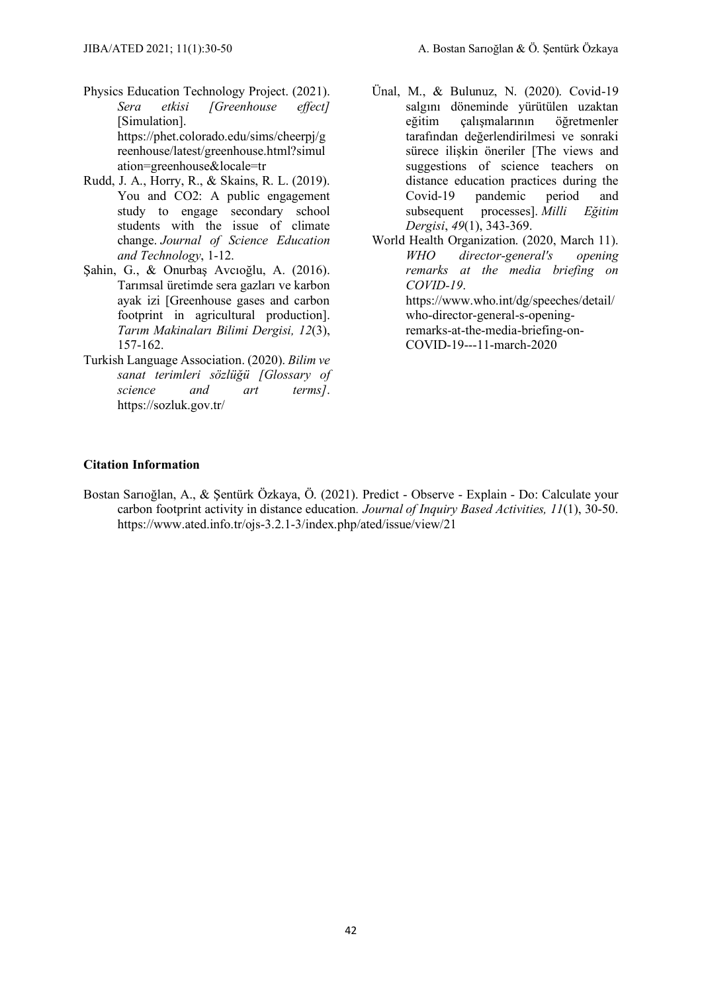- Physics Education Technology Project. (2021). *Sera etkisi [Greenhouse effect]* [Simulation]. [https://phet.colorado.edu/sims/cheerpj/g](https://phet.colorado.edu/sims/cheerpj/greenhouse/latest/greenhouse.html?simulation=greenhouse&locale=tr) [reenhouse/latest/greenhouse.html?simul](https://phet.colorado.edu/sims/cheerpj/greenhouse/latest/greenhouse.html?simulation=greenhouse&locale=tr) [ation=greenhouse&locale=tr](https://phet.colorado.edu/sims/cheerpj/greenhouse/latest/greenhouse.html?simulation=greenhouse&locale=tr)
- Rudd, J. A., Horry, R., & Skains, R. L. (2019). You and CO2: A public engagement study to engage secondary school students with the issue of climate change. *Journal of Science Education and Technology*, 1-12.
- Şahin, G., & Onurbaş Avcıoğlu, A. (2016). Tarımsal üretimde sera gazları ve karbon ayak izi [Greenhouse gases and carbon footprint in agricultural production]. *Tarım Makinaları Bilimi Dergisi, 12*(3), 157-162.
- Turkish Language Association. (2020). *Bilim ve sanat terimleri sözlüğü [Glossary of science and art terms]*. <https://sozluk.gov.tr/>
- Ünal, M., & Bulunuz, N. (2020). Covid-19 salgını döneminde yürütülen uzaktan eğitim çalışmalarının öğretmenler tarafından değerlendirilmesi ve sonraki sürece ilişkin öneriler [The views and suggestions of science teachers on distance education practices during the Covid-19 pandemic period and subsequent processes]. *Milli Eğitim Dergisi*, *49*(1), 343-369.
- World Health Organization. (2020, March 11). *WHO director-general's opening remarks at the media briefing on COVID-19*. [https://www.who.int/dg/speeches/detail/](https://www.who.int/dg/speeches/detail/who-director-general-s-opening-remarks-at-the-media-briefing-on-COVID-19---11-march-2020) [who-director-general-s-opening](https://www.who.int/dg/speeches/detail/who-director-general-s-opening-remarks-at-the-media-briefing-on-COVID-19---11-march-2020)[remarks-at-the-media-briefing-on-](https://www.who.int/dg/speeches/detail/who-director-general-s-opening-remarks-at-the-media-briefing-on-COVID-19---11-march-2020)[COVID-19---11-march-2020](https://www.who.int/dg/speeches/detail/who-director-general-s-opening-remarks-at-the-media-briefing-on-COVID-19---11-march-2020)

#### **Citation Information**

Bostan Sarıoğlan, A., & Şentürk Özkaya, Ö. (2021). Predict - Observe - Explain - Do: Calculate your carbon footprint activity in distance education*. Journal of Inquiry Based Activities, 11*(1), 30-50. https://www.ated.info.tr/ojs-3.2.1-3/index.php/ated/issue/view/21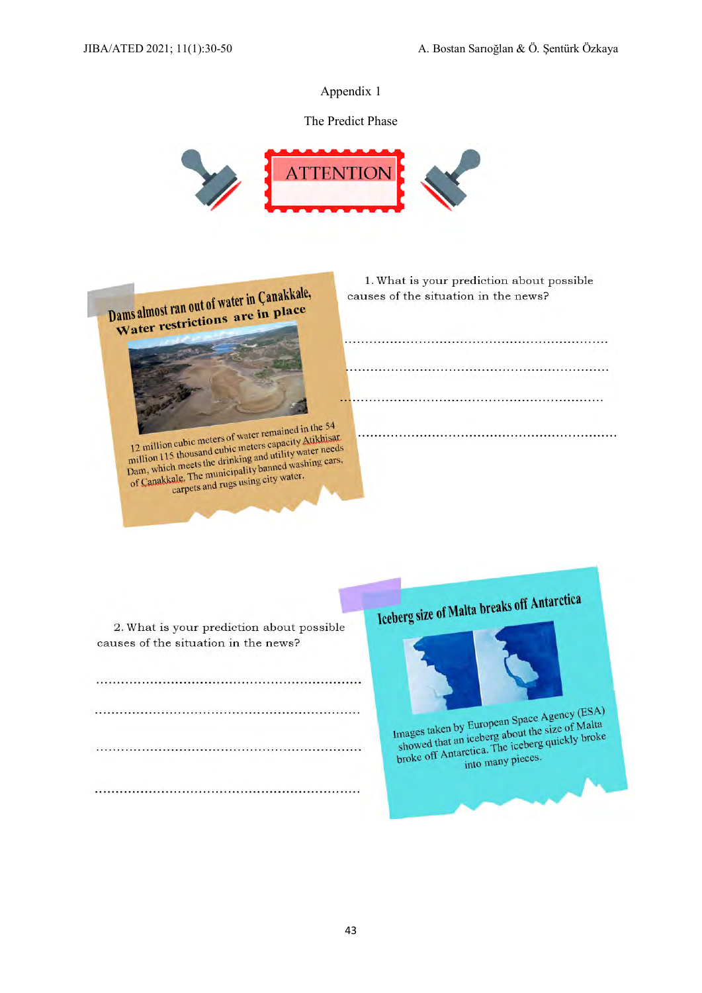The Predict Phase





12 million cubic meters of water remained in the 54<br>12 million cubic meters of water remained in the 54<br>115 thousand cubic meters capacity Atiklisa 12 million cubic meters of water remained in the 34<br>12 million 115 thousand cubic meters capacity Atikhisar<br>million 115 thousand cubic meters apartitive washing cars. 12 million cubic meters of waters capacity Attkinsal<br>million 115 thousand cubic meters capacity Attkinsal<br>million 115 thousand cubic meters capacity water needs<br>pam, which meets the drinking and washing cars, million 115 thousand cubic lines and utility water necess<br>pam, which meets the drinking and utility water.<br>of Canakkale. The municipality banned washing cars,<br>of Canakkale. The municipality banned water. kale. The municipality banned was

2. What is your prediction about possible

causes of the situation in the news?

1. What is your prediction about possible causes of the situation in the news?

Iceberg size of Malta breaks off Antarctica



Images taken by European Space Agency (ESA) images taken by European Space Agency (EST)<br>showed that an iceberg about the size of Malta<br>showed that an iceberg about the size of Antarctica. Images taken by European Travel in the size of Malla<br>showed that an iceberg about the size of Malla<br>broke off Antarctica. The iceberg quickly broke<br>into many pieces.

into many pieces.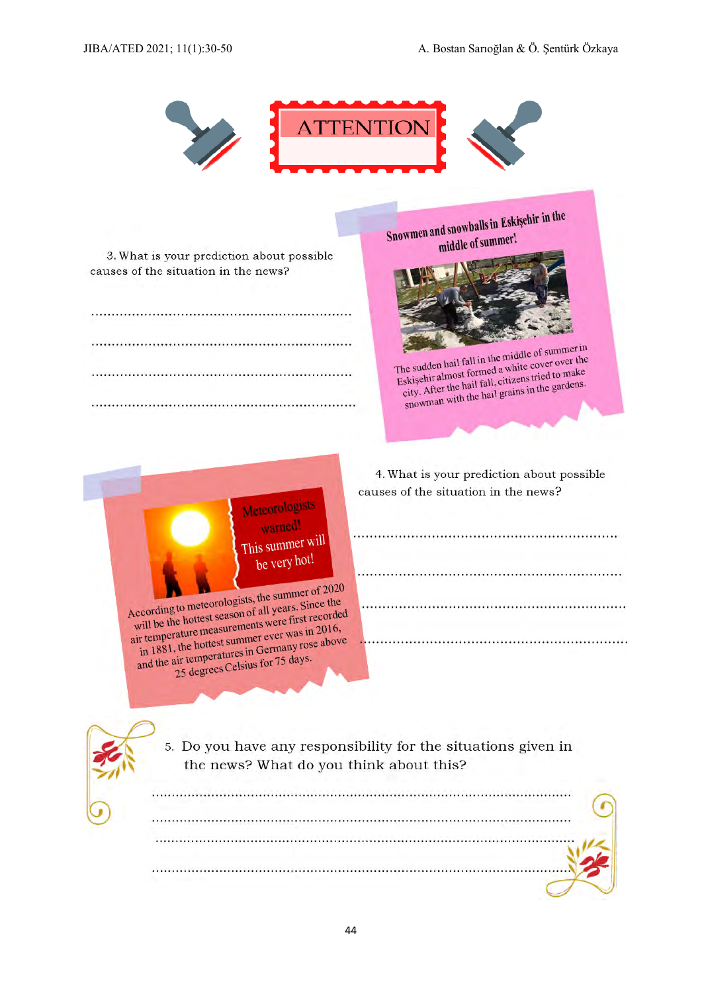44

JIBA/ATED 2021; 11(1):30-50 A. Bostan Sarıoğlan & Ö. Şentürk Özkaya

3. What is your prediction about possible causes of the situation in the news?

> Meteorologists warned!

This summer will be very hot!

According to meteorologists, the summer of 2020 According to meteorologists, the summer of 2020<br>will be the hottest season of all years. Since the<br>will be the hottest season of all years. Since the

According to meteorologian of all years. Since the<br>will be the hottest season of all years. Since the<br>air temperature measurements were first recorded<br>air temperature measurement ever was in 2016, will be the hottest scale<br>ir temperature measurements were first reconci-<br>in 1881, the hottest summer ever was in 2016,<br>in 1881, the hottest summer Germany rose above air temperature measuremer ever was in 2010,<br>in 1881, the hottest summer ever was in 2010,<br>and the air temperatures in Germany rose above<br>and the air temperatures in Germany rose.

air temperatures in Germany contains the temperatures in Germany contains the 25 degrees Celsius for 75 days.

4. What is your prediction about possible causes of the situation in the news?

the sudden half fail in the cover over the<br>Eskişehir almost formed a white cover over the<br>city. After the hail fall, citizens tried to make

skişehir almost total fall, citizens tried to maintenant city. After the hail fall, citizens in the gardens.

5. Do you have any responsibility for the situations given in the news? What do you think about this?

**TTENTIOI** 



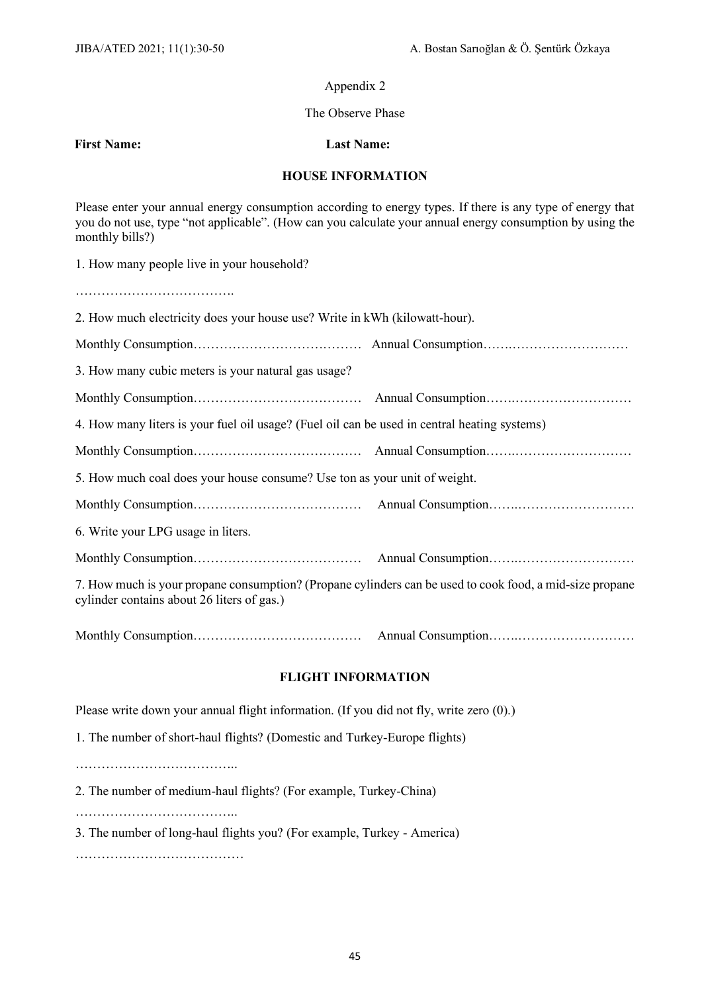#### The Observe Phase

**First Name: Last Name:**

#### **HOUSE INFORMATION**

Please enter your annual energy consumption according to energy types. If there is any type of energy that you do not use, type "not applicable". (How can you calculate your annual energy consumption by using the monthly bills?)

1. How many people live in your household?

……………………………….

| 2. How much electricity does your house use? Write in kWh (kilowatt-hour).                                                                             |  |  |  |  |
|--------------------------------------------------------------------------------------------------------------------------------------------------------|--|--|--|--|
|                                                                                                                                                        |  |  |  |  |
| 3. How many cubic meters is your natural gas usage?                                                                                                    |  |  |  |  |
|                                                                                                                                                        |  |  |  |  |
| 4. How many liters is your fuel oil usage? (Fuel oil can be used in central heating systems)                                                           |  |  |  |  |
|                                                                                                                                                        |  |  |  |  |
| 5. How much coal does your house consume? Use ton as your unit of weight.                                                                              |  |  |  |  |
|                                                                                                                                                        |  |  |  |  |
| 6. Write your LPG usage in liters.                                                                                                                     |  |  |  |  |
|                                                                                                                                                        |  |  |  |  |
| 7. How much is your propane consumption? (Propane cylinders can be used to cook food, a mid-size propane<br>cylinder contains about 26 liters of gas.) |  |  |  |  |
|                                                                                                                                                        |  |  |  |  |
| <b>FLIGHT INFORMATION</b>                                                                                                                              |  |  |  |  |

Please write down your annual flight information. (If you did not fly, write zero (0).)

1. The number of short-haul flights? (Domestic and Turkey-Europe flights)

………………………………..

2. The number of medium-haul flights? (For example, Turkey-China)

………………………………..

3. The number of long-haul flights you? (For example, Turkey - America)

…………………………………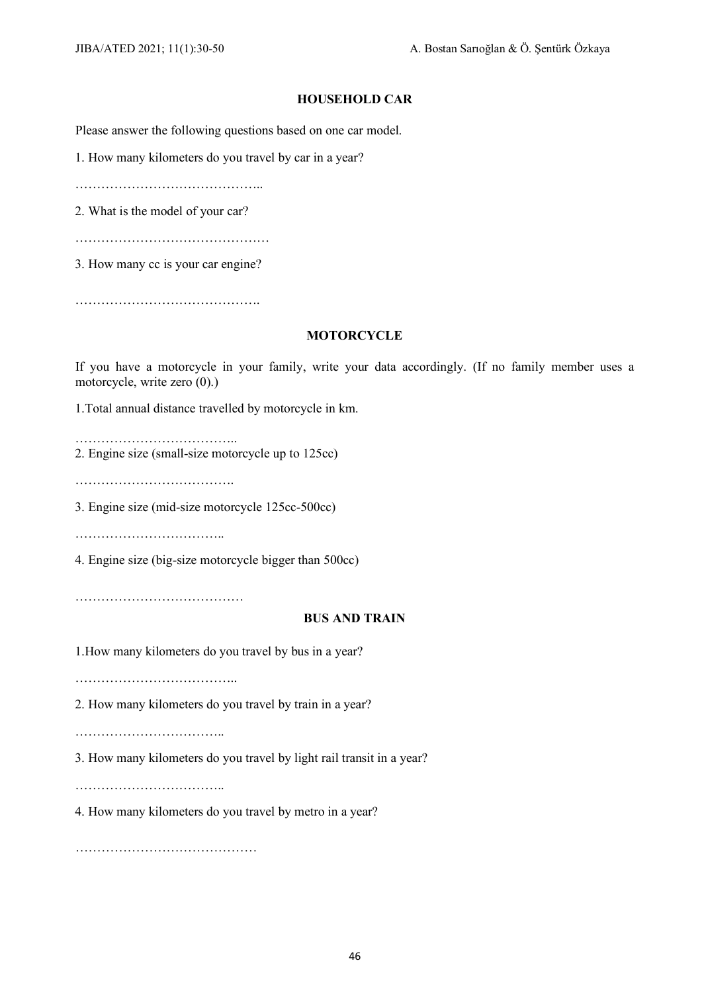#### **HOUSEHOLD CAR**

Please answer the following questions based on one car model.

1. How many kilometers do you travel by car in a year?

……………………………………..

2. What is the model of your car?

………………………………………

3. How many cc is your car engine?

…………………………………….

#### **MOTORCYCLE**

If you have a motorcycle in your family, write your data accordingly. (If no family member uses a motorcycle, write zero (0).)

1.Total annual distance travelled by motorcycle in km.

……………………………….. 2. Engine size (small-size motorcycle up to 125cc)

…………………………………………

3. Engine size (mid-size motorcycle 125cc-500cc)

……………………………..

4. Engine size (big-size motorcycle bigger than 500cc)

…………………………………

#### **BUS AND TRAIN**

1.How many kilometers do you travel by bus in a year?

………………………………..

2. How many kilometers do you travel by train in a year?

……………………………..

3. How many kilometers do you travel by light rail transit in a year?

……………………………..

4. How many kilometers do you travel by metro in a year?

……………………………………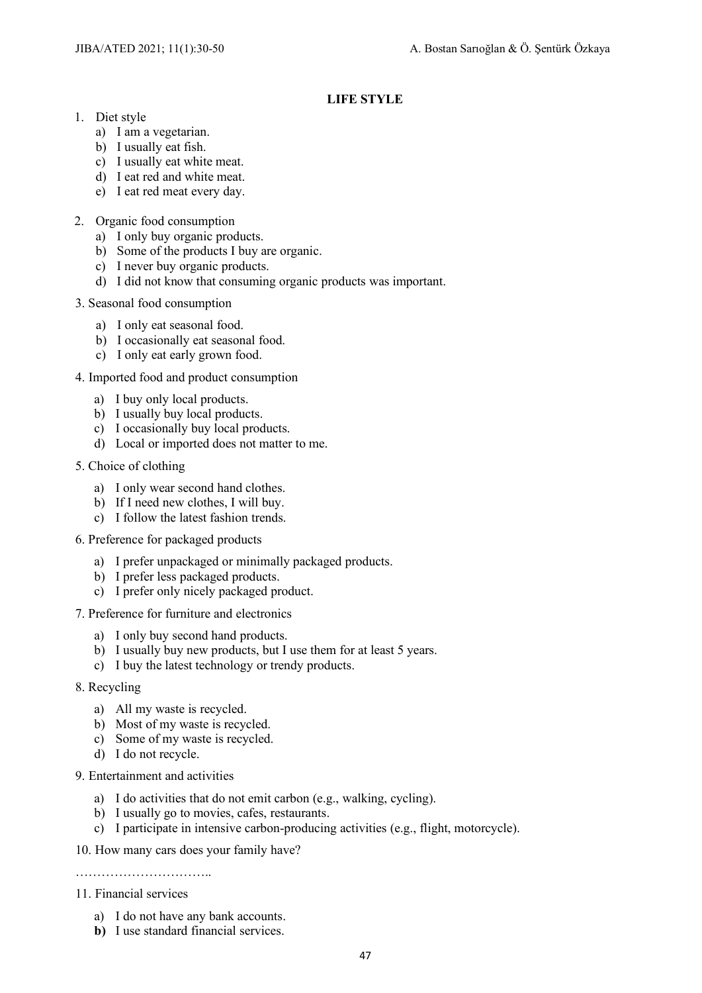#### **LIFE STYLE**

- 1. Diet style
	- a) I am a vegetarian.
	- b) I usually eat fish.
	- c) I usually eat white meat.
	- d) I eat red and white meat.
	- e) I eat red meat every day.
- 2. Organic food consumption
	- a) I only buy organic products.
	- b) Some of the products I buy are organic.
	- c) I never buy organic products.
	- d) I did not know that consuming organic products was important.
- 3. Seasonal food consumption
	- a) I only eat seasonal food.
	- b) I occasionally eat seasonal food.
	- c) I only eat early grown food.
- 4. Imported food and product consumption
	- a) I buy only local products.
	- b) I usually buy local products.
	- c) I occasionally buy local products.
	- d) Local or imported does not matter to me.
- 5. Choice of clothing
	- a) I only wear second hand clothes.
	- b) If I need new clothes, I will buy.
	- c) I follow the latest fashion trends.
- 6. Preference for packaged products
	- a) I prefer unpackaged or minimally packaged products.
	- b) I prefer less packaged products.
	- c) I prefer only nicely packaged product.
- 7. Preference for furniture and electronics
	- a) I only buy second hand products.
	- b) I usually buy new products, but I use them for at least 5 years.
	- c) I buy the latest technology or trendy products.
- 8. Recycling
	- a) All my waste is recycled.
	- b) Most of my waste is recycled.
	- c) Some of my waste is recycled.
	- d) I do not recycle.
- 9. Entertainment and activities
	- a) I do activities that do not emit carbon (e.g., walking, cycling).
	- b) I usually go to movies, cafes, restaurants.
	- c) I participate in intensive carbon-producing activities (e.g., flight, motorcycle).
- 10. How many cars does your family have?

……………………………………

#### 11. Financial services

- a) I do not have any bank accounts.
- **b)** I use standard financial services.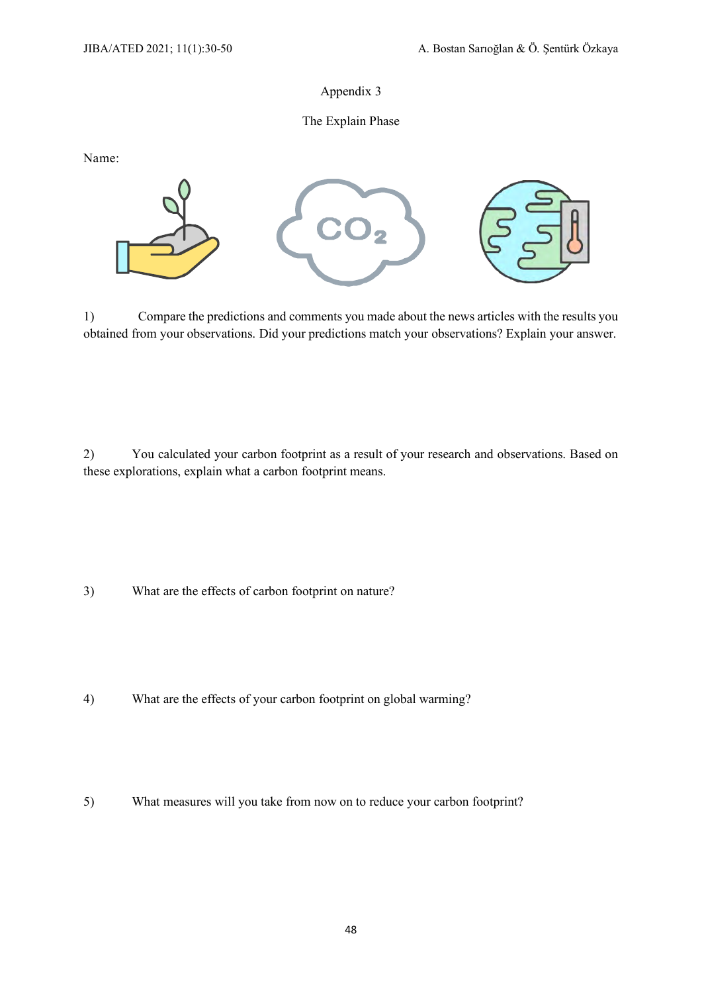#### The Explain Phase

Name:



1) Compare the predictions and comments you made about the news articles with the results you obtained from your observations. Did your predictions match your observations? Explain your answer.

2) You calculated your carbon footprint as a result of your research and observations. Based on these explorations, explain what a carbon footprint means.

3) What are the effects of carbon footprint on nature?

- 4) What are the effects of your carbon footprint on global warming?
- 5) What measures will you take from now on to reduce your carbon footprint?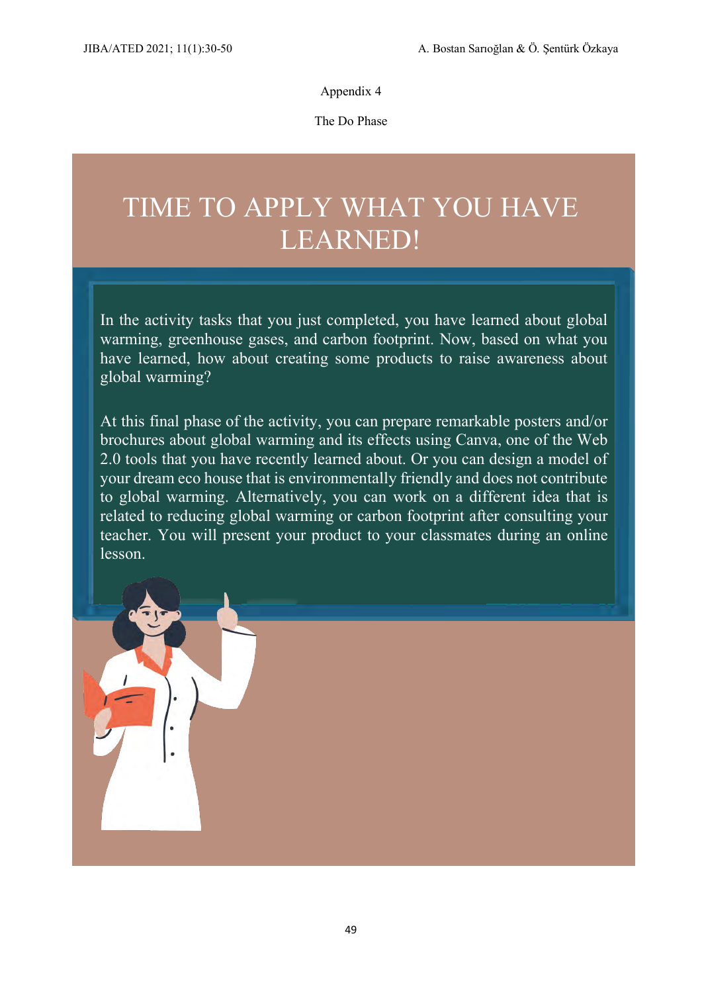The Do Phase

# TIME TO APPLY WHAT YOU HAVE LEARNED!

In the activity tasks that you just completed, you have learned about global warming, greenhouse gases, and carbon footprint. Now, based on what you have learned, how about creating some products to raise awareness about global warming?

At this final phase of the activity, you can prepare remarkable posters and/or brochures about global warming and its effects using Canva, one of the Web 2.0 tools that you have recently learned about. Or you can design a model of your dream eco house that is environmentally friendly and does not contribute to global warming. Alternatively, you can work on a different idea that is related to reducing global warming or carbon footprint after consulting your teacher. You will present your product to your classmates during an online lesson.